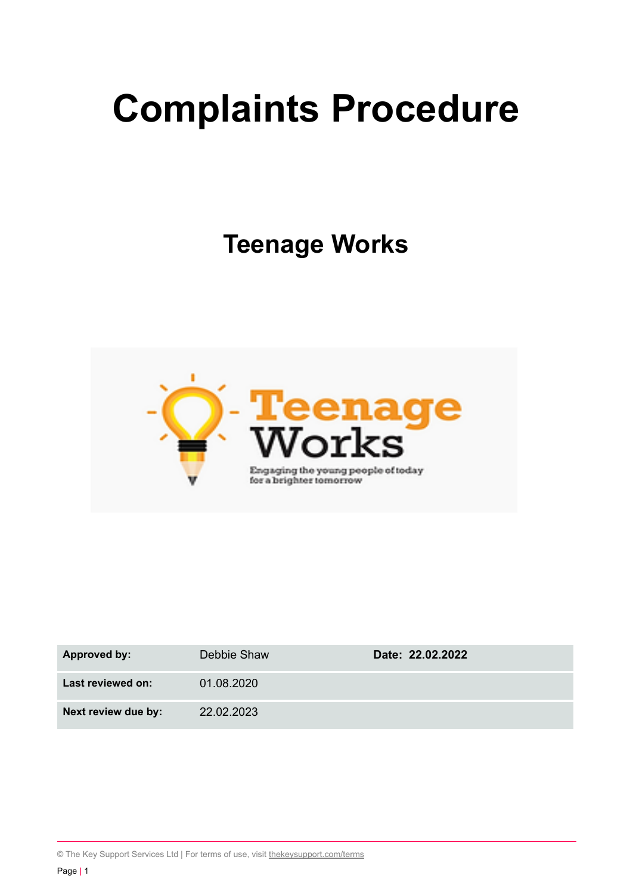# **Complaints Procedure**

**Teenage Works**



| Approved by:        | Debbie Shaw | Date: 22.02.2022 |
|---------------------|-------------|------------------|
| Last reviewed on:   | 01.08.2020  |                  |
| Next review due by: | 22.02.2023  |                  |

© The Key Support Services Ltd | For terms of use, visit [thekeysupport.com/terms](https://thekeysupport.com/terms-of-use)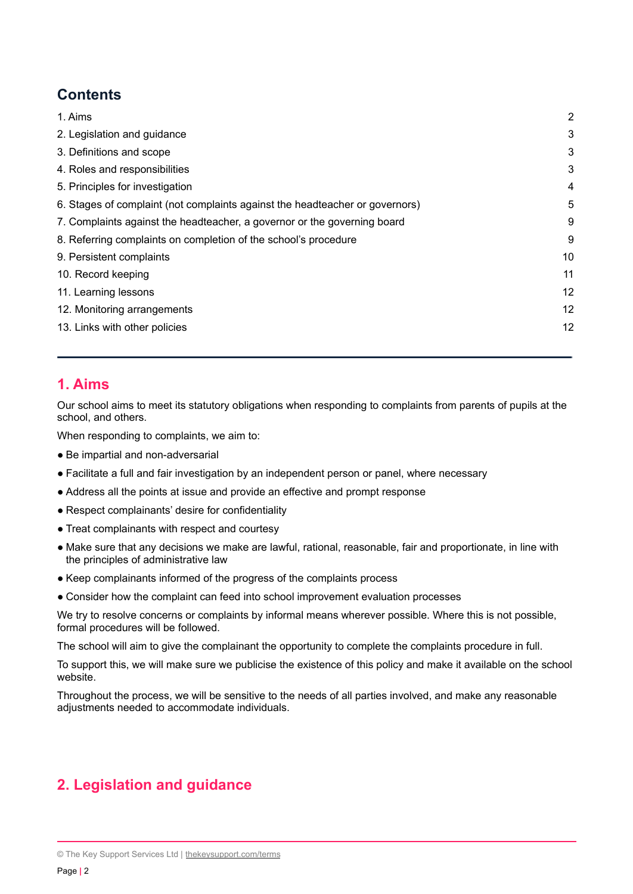# **Contents**

| 1. Aims                                                                      | $\overline{2}$ |
|------------------------------------------------------------------------------|----------------|
| 2. Legislation and guidance                                                  | 3              |
| 3. Definitions and scope                                                     | 3              |
| 4. Roles and responsibilities                                                | 3              |
| 5. Principles for investigation                                              | 4              |
| 6. Stages of complaint (not complaints against the headteacher or governors) | 5              |
| 7. Complaints against the headteacher, a governor or the governing board     | 9              |
| 8. Referring complaints on completion of the school's procedure              | 9              |
| 9. Persistent complaints                                                     | 10             |
| 10. Record keeping                                                           | 11             |
| 11. Learning lessons                                                         | 12             |
| 12. Monitoring arrangements                                                  | 12             |
| 13. Links with other policies                                                | 12             |
|                                                                              |                |

## <span id="page-1-0"></span>**1. Aims**

Our school aims to meet its statutory obligations when responding to complaints from parents of pupils at the school, and others.

When responding to complaints, we aim to:

- Be impartial and non-adversarial
- Facilitate a full and fair investigation by an independent person or panel, where necessary
- Address all the points at issue and provide an effective and prompt response
- Respect complainants' desire for confidentiality
- Treat complainants with respect and courtesy
- Make sure that any decisions we make are lawful, rational, reasonable, fair and proportionate, in line with the principles of administrative law
- Keep complainants informed of the progress of the complaints process
- Consider how the complaint can feed into school improvement evaluation processes

We try to resolve concerns or complaints by informal means wherever possible. Where this is not possible, formal procedures will be followed.

The school will aim to give the complainant the opportunity to complete the complaints procedure in full.

To support this, we will make sure we publicise the existence of this policy and make it available on the school website.

Throughout the process, we will be sensitive to the needs of all parties involved, and make any reasonable adjustments needed to accommodate individuals.

# <span id="page-1-1"></span>**2. Legislation and guidance**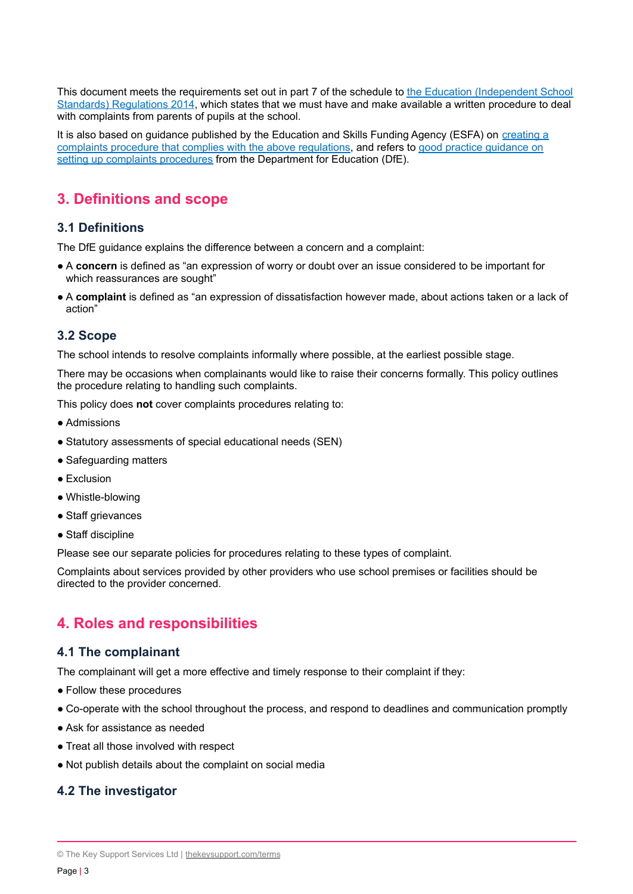This document meets the requirements set out in part 7 of the schedule to the Education [\(Independent](http://www.legislation.gov.uk/uksi/2014/3283/schedule/made) School Standards) [Regulations](http://www.legislation.gov.uk/uksi/2014/3283/schedule/made) 2014, which states that we must have and make available a written procedure to deal with complaints from parents of pupils at the school.

It is also based on guidance published by the Education and Skills Funding Agency (ESFA) on [creating](https://www.gov.uk/government/publications/setting-up-an-academies-complaints-procedure) a complaints procedure that complies with the above [regulations](https://www.gov.uk/government/publications/setting-up-an-academies-complaints-procedure), and refers to good practice [guidance](https://www.gov.uk/government/publications/school-complaints-procedures) on setting up complaints [procedures](https://www.gov.uk/government/publications/school-complaints-procedures) from the Department for Education (DfE).

# <span id="page-2-0"></span>**3. Definitions and scope**

## **3.1 Definitions**

The DfE guidance explains the difference between a concern and a complaint:

- A **concern** is defined as "an expression of worry or doubt over an issue considered to be important for which reassurances are sought"
- A **complaint** is defined as "an expression of dissatisfaction however made, about actions taken or a lack of action"

#### **3.2 Scope**

The school intends to resolve complaints informally where possible, at the earliest possible stage.

There may be occasions when complainants would like to raise their concerns formally. This policy outlines the procedure relating to handling such complaints.

This policy does **not** cover complaints procedures relating to:

- Admissions
- Statutory assessments of special educational needs (SEN)
- Safeguarding matters
- Exclusion
- Whistle-blowing
- Staff grievances
- Staff discipline

Please see our separate policies for procedures relating to these types of complaint.

Complaints about services provided by other providers who use school premises or facilities should be directed to the provider concerned.

## <span id="page-2-1"></span>**4. Roles and responsibilities**

#### **4.1 The complainant**

The complainant will get a more effective and timely response to their complaint if they:

- Follow these procedures
- Co-operate with the school throughout the process, and respond to deadlines and communication promptly
- Ask for assistance as needed
- Treat all those involved with respect
- Not publish details about the complaint on social media

#### **4.2 The investigator**

<sup>©</sup> The Key Support Services Ltd | [thekeysupport.com/terms](https://thekeysupport.com/terms-of-use)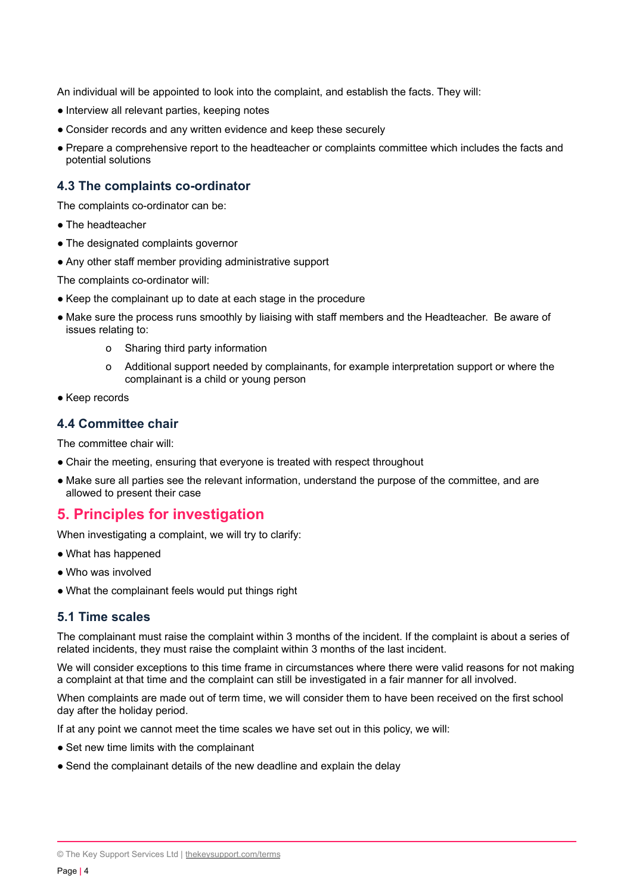An individual will be appointed to look into the complaint, and establish the facts. They will:

- Interview all relevant parties, keeping notes
- Consider records and any written evidence and keep these securely
- Prepare a comprehensive report to the headteacher or complaints committee which includes the facts and potential solutions

## **4.3 The complaints co-ordinator**

The complaints co-ordinator can be:

- The headteacher
- The designated complaints governor
- Any other staff member providing administrative support

The complaints co-ordinator will:

- Keep the complainant up to date at each stage in the procedure
- Make sure the process runs smoothly by liaising with staff members and the Headteacher. Be aware of issues relating to:
	- o Sharing third party information
	- o Additional support needed by complainants, for example interpretation support or where the complainant is a child or young person
- Keep records

#### **4.4 Committee chair**

The committee chair will:

- Chair the meeting, ensuring that everyone is treated with respect throughout
- <span id="page-3-0"></span>● Make sure all parties see the relevant information, understand the purpose of the committee, and are allowed to present their case

## **5. Principles for investigation**

When investigating a complaint, we will try to clarify:

- What has happened
- Who was involved
- What the complainant feels would put things right

#### **5.1 Time scales**

The complainant must raise the complaint within 3 months of the incident. If the complaint is about a series of related incidents, they must raise the complaint within 3 months of the last incident.

We will consider exceptions to this time frame in circumstances where there were valid reasons for not making a complaint at that time and the complaint can still be investigated in a fair manner for all involved.

When complaints are made out of term time, we will consider them to have been received on the first school day after the holiday period.

If at any point we cannot meet the time scales we have set out in this policy, we will:

- Set new time limits with the complainant
- <span id="page-3-1"></span>● Send the complainant details of the new deadline and explain the delay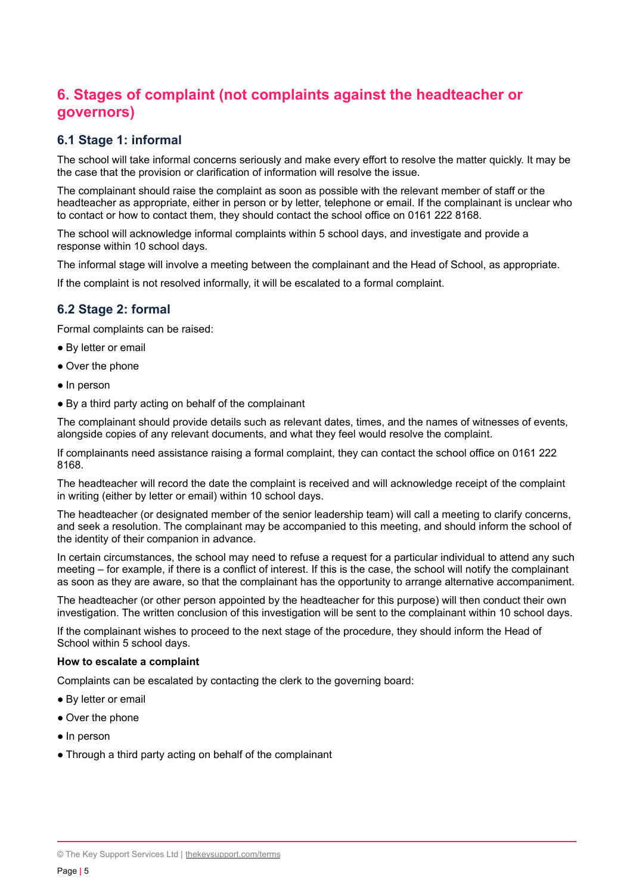# **6. Stages of complaint (not complaints against the headteacher or governors)**

## **6.1 Stage 1: informal**

The school will take informal concerns seriously and make every effort to resolve the matter quickly. It may be the case that the provision or clarification of information will resolve the issue.

The complainant should raise the complaint as soon as possible with the relevant member of staff or the headteacher as appropriate, either in person or by letter, telephone or email. If the complainant is unclear who to contact or how to contact them, they should contact the school office on 0161 222 8168.

The school will acknowledge informal complaints within 5 school days, and investigate and provide a response within 10 school days.

The informal stage will involve a meeting between the complainant and the Head of School, as appropriate.

If the complaint is not resolved informally, it will be escalated to a formal complaint.

#### **6.2 Stage 2: formal**

Formal complaints can be raised:

- By letter or email
- Over the phone
- In person
- By a third party acting on behalf of the complainant

The complainant should provide details such as relevant dates, times, and the names of witnesses of events, alongside copies of any relevant documents, and what they feel would resolve the complaint.

If complainants need assistance raising a formal complaint, they can contact the school office on 0161 222 8168.

The headteacher will record the date the complaint is received and will acknowledge receipt of the complaint in writing (either by letter or email) within 10 school days.

The headteacher (or designated member of the senior leadership team) will call a meeting to clarify concerns, and seek a resolution. The complainant may be accompanied to this meeting, and should inform the school of the identity of their companion in advance.

In certain circumstances, the school may need to refuse a request for a particular individual to attend any such meeting – for example, if there is a conflict of interest. If this is the case, the school will notify the complainant as soon as they are aware, so that the complainant has the opportunity to arrange alternative accompaniment.

The headteacher (or other person appointed by the headteacher for this purpose) will then conduct their own investigation. The written conclusion of this investigation will be sent to the complainant within 10 school days.

If the complainant wishes to proceed to the next stage of the procedure, they should inform the Head of School within 5 school days.

#### **How to escalate a complaint**

Complaints can be escalated by contacting the clerk to the governing board:

- By letter or email
- Over the phone
- In person
- Through a third party acting on behalf of the complainant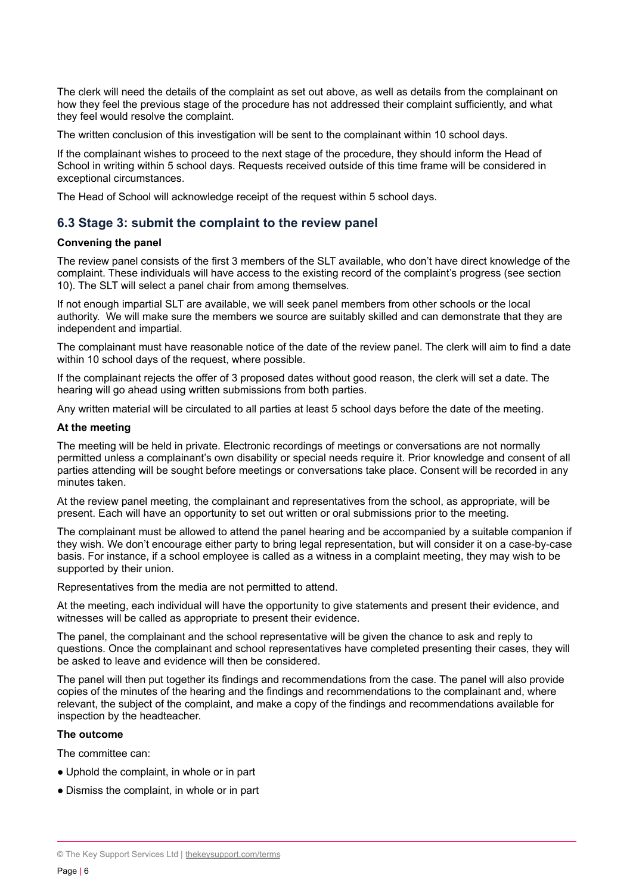The clerk will need the details of the complaint as set out above, as well as details from the complainant on how they feel the previous stage of the procedure has not addressed their complaint sufficiently, and what they feel would resolve the complaint.

The written conclusion of this investigation will be sent to the complainant within 10 school days.

If the complainant wishes to proceed to the next stage of the procedure, they should inform the Head of School in writing within 5 school days. Requests received outside of this time frame will be considered in exceptional circumstances.

The Head of School will acknowledge receipt of the request within 5 school days.

#### **6.3 Stage 3: submit the complaint to the review panel**

#### **Convening the panel**

The review panel consists of the first 3 members of the SLT available, who don't have direct knowledge of the complaint. These individuals will have access to the existing record of the complaint's progress (see section 10). The SLT will select a panel chair from among themselves.

If not enough impartial SLT are available, we will seek panel members from other schools or the local authority. We will make sure the members we source are suitably skilled and can demonstrate that they are independent and impartial.

The complainant must have reasonable notice of the date of the review panel. The clerk will aim to find a date within 10 school days of the request, where possible.

If the complainant rejects the offer of 3 proposed dates without good reason, the clerk will set a date. The hearing will go ahead using written submissions from both parties.

Any written material will be circulated to all parties at least 5 school days before the date of the meeting.

#### **At the meeting**

The meeting will be held in private. Electronic recordings of meetings or conversations are not normally permitted unless a complainant's own disability or special needs require it. Prior knowledge and consent of all parties attending will be sought before meetings or conversations take place. Consent will be recorded in any minutes taken.

At the review panel meeting, the complainant and representatives from the school, as appropriate, will be present. Each will have an opportunity to set out written or oral submissions prior to the meeting.

The complainant must be allowed to attend the panel hearing and be accompanied by a suitable companion if they wish. We don't encourage either party to bring legal representation, but will consider it on a case-by-case basis. For instance, if a school employee is called as a witness in a complaint meeting, they may wish to be supported by their union.

Representatives from the media are not permitted to attend.

At the meeting, each individual will have the opportunity to give statements and present their evidence, and witnesses will be called as appropriate to present their evidence.

The panel, the complainant and the school representative will be given the chance to ask and reply to questions. Once the complainant and school representatives have completed presenting their cases, they will be asked to leave and evidence will then be considered.

The panel will then put together its findings and recommendations from the case. The panel will also provide copies of the minutes of the hearing and the findings and recommendations to the complainant and, where relevant, the subject of the complaint, and make a copy of the findings and recommendations available for inspection by the headteacher.

#### **The outcome**

The committee can:

- Uphold the complaint, in whole or in part
- Dismiss the complaint, in whole or in part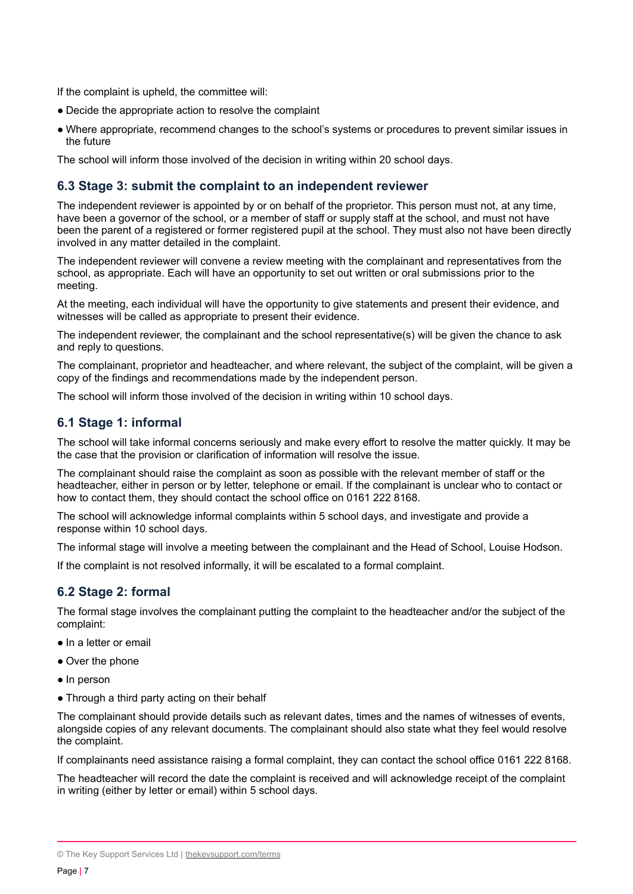If the complaint is upheld, the committee will:

- Decide the appropriate action to resolve the complaint
- Where appropriate, recommend changes to the school's systems or procedures to prevent similar issues in the future

The school will inform those involved of the decision in writing within 20 school days.

#### **6.3 Stage 3: submit the complaint to an independent reviewer**

The independent reviewer is appointed by or on behalf of the proprietor. This person must not, at any time, have been a governor of the school, or a member of staff or supply staff at the school, and must not have been the parent of a registered or former registered pupil at the school. They must also not have been directly involved in any matter detailed in the complaint.

The independent reviewer will convene a review meeting with the complainant and representatives from the school, as appropriate. Each will have an opportunity to set out written or oral submissions prior to the meeting.

At the meeting, each individual will have the opportunity to give statements and present their evidence, and witnesses will be called as appropriate to present their evidence.

The independent reviewer, the complainant and the school representative(s) will be given the chance to ask and reply to questions.

The complainant, proprietor and headteacher, and where relevant, the subject of the complaint, will be given a copy of the findings and recommendations made by the independent person.

The school will inform those involved of the decision in writing within 10 school days.

#### **6.1 Stage 1: informal**

The school will take informal concerns seriously and make every effort to resolve the matter quickly. It may be the case that the provision or clarification of information will resolve the issue.

The complainant should raise the complaint as soon as possible with the relevant member of staff or the headteacher, either in person or by letter, telephone or email. If the complainant is unclear who to contact or how to contact them, they should contact the school office on 0161 222 8168.

The school will acknowledge informal complaints within 5 school days, and investigate and provide a response within 10 school days.

The informal stage will involve a meeting between the complainant and the Head of School, Louise Hodson.

If the complaint is not resolved informally, it will be escalated to a formal complaint.

## **6.2 Stage 2: formal**

The formal stage involves the complainant putting the complaint to the headteacher and/or the subject of the complaint:

- In a letter or email
- Over the phone
- In person
- Through a third party acting on their behalf

The complainant should provide details such as relevant dates, times and the names of witnesses of events, alongside copies of any relevant documents. The complainant should also state what they feel would resolve the complaint.

If complainants need assistance raising a formal complaint, they can contact the school office 0161 222 8168.

The headteacher will record the date the complaint is received and will acknowledge receipt of the complaint in writing (either by letter or email) within 5 school days.

<sup>©</sup> The Key Support Services Ltd | [thekeysupport.com/terms](https://thekeysupport.com/terms-of-use)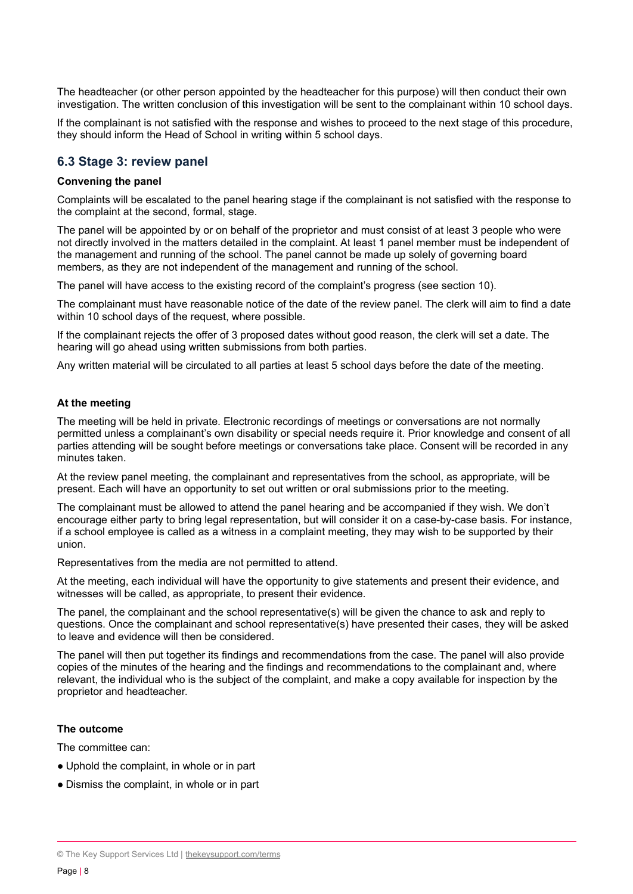The headteacher (or other person appointed by the headteacher for this purpose) will then conduct their own investigation. The written conclusion of this investigation will be sent to the complainant within 10 school days.

If the complainant is not satisfied with the response and wishes to proceed to the next stage of this procedure, they should inform the Head of School in writing within 5 school days.

#### **6.3 Stage 3: review panel**

#### **Convening the panel**

Complaints will be escalated to the panel hearing stage if the complainant is not satisfied with the response to the complaint at the second, formal, stage.

The panel will be appointed by or on behalf of the proprietor and must consist of at least 3 people who were not directly involved in the matters detailed in the complaint. At least 1 panel member must be independent of the management and running of the school. The panel cannot be made up solely of governing board members, as they are not independent of the management and running of the school.

The panel will have access to the existing record of the complaint's progress (see section 10).

The complainant must have reasonable notice of the date of the review panel. The clerk will aim to find a date within 10 school days of the request, where possible.

If the complainant rejects the offer of 3 proposed dates without good reason, the clerk will set a date. The hearing will go ahead using written submissions from both parties.

Any written material will be circulated to all parties at least 5 school days before the date of the meeting.

#### **At the meeting**

The meeting will be held in private. Electronic recordings of meetings or conversations are not normally permitted unless a complainant's own disability or special needs require it. Prior knowledge and consent of all parties attending will be sought before meetings or conversations take place. Consent will be recorded in any minutes taken.

At the review panel meeting, the complainant and representatives from the school, as appropriate, will be present. Each will have an opportunity to set out written or oral submissions prior to the meeting.

The complainant must be allowed to attend the panel hearing and be accompanied if they wish. We don't encourage either party to bring legal representation, but will consider it on a case-by-case basis. For instance, if a school employee is called as a witness in a complaint meeting, they may wish to be supported by their union.

Representatives from the media are not permitted to attend.

At the meeting, each individual will have the opportunity to give statements and present their evidence, and witnesses will be called, as appropriate, to present their evidence.

The panel, the complainant and the school representative(s) will be given the chance to ask and reply to questions. Once the complainant and school representative(s) have presented their cases, they will be asked to leave and evidence will then be considered.

The panel will then put together its findings and recommendations from the case. The panel will also provide copies of the minutes of the hearing and the findings and recommendations to the complainant and, where relevant, the individual who is the subject of the complaint, and make a copy available for inspection by the proprietor and headteacher.

#### **The outcome**

The committee can:

- Uphold the complaint, in whole or in part
- Dismiss the complaint, in whole or in part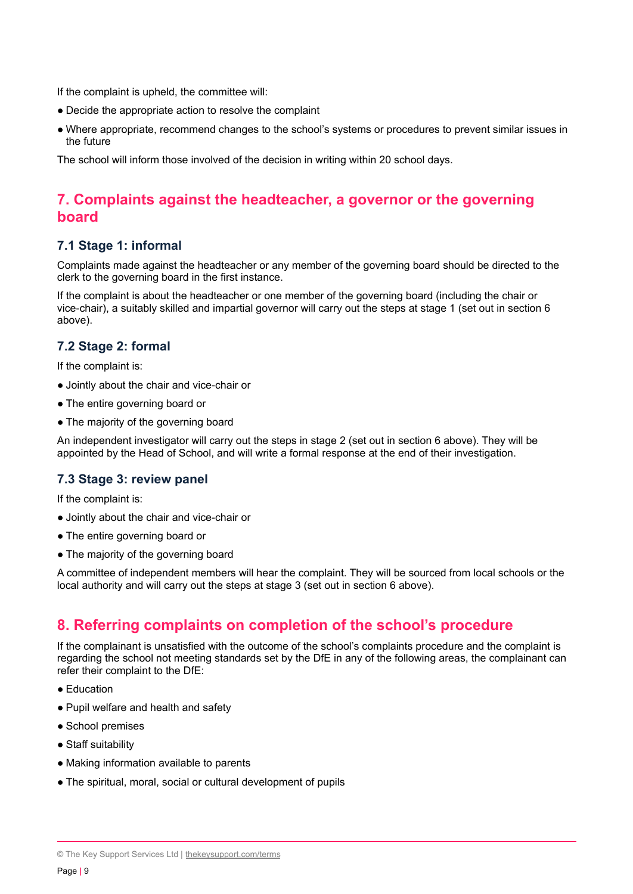If the complaint is upheld, the committee will:

- Decide the appropriate action to resolve the complaint
- Where appropriate, recommend changes to the school's systems or procedures to prevent similar issues in the future

<span id="page-8-0"></span>The school will inform those involved of the decision in writing within 20 school days.

# **7. Complaints against the headteacher, a governor or the governing board**

#### **7.1 Stage 1: informal**

Complaints made against the headteacher or any member of the governing board should be directed to the clerk to the governing board in the first instance.

If the complaint is about the headteacher or one member of the governing board (including the chair or vice-chair), a suitably skilled and impartial governor will carry out the steps at stage 1 (set out in section 6 above).

## **7.2 Stage 2: formal**

If the complaint is:

- Jointly about the chair and vice-chair or
- The entire governing board or
- The majority of the governing board

An independent investigator will carry out the steps in stage 2 (set out in section 6 above). They will be appointed by the Head of School, and will write a formal response at the end of their investigation.

## **7.3 Stage 3: review panel**

If the complaint is:

- Jointly about the chair and vice-chair or
- The entire governing board or
- The majority of the governing board

A committee of independent members will hear the complaint. They will be sourced from local schools or the local authority and will carry out the steps at stage 3 (set out in section 6 above).

## <span id="page-8-1"></span>**8. Referring complaints on completion of the school's procedure**

If the complainant is unsatisfied with the outcome of the school's complaints procedure and the complaint is regarding the school not meeting standards set by the DfE in any of the following areas, the complainant can refer their complaint to the DfE:

- Education
- Pupil welfare and health and safety
- School premises
- Staff suitability
- Making information available to parents
- The spiritual, moral, social or cultural development of pupils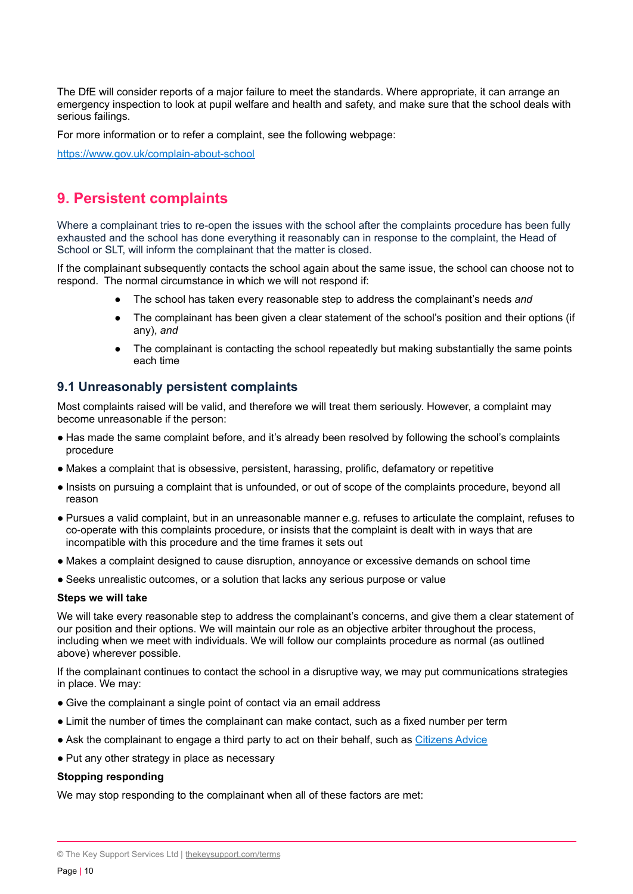The DfE will consider reports of a major failure to meet the standards. Where appropriate, it can arrange an emergency inspection to look at pupil welfare and health and safety, and make sure that the school deals with serious failings.

For more information or to refer a complaint, see the following webpage:

<span id="page-9-0"></span><https://www.gov.uk/complain-about-school>

# **9. Persistent complaints**

Where a complainant tries to re-open the issues with the school after the complaints procedure has been fully exhausted and the school has done everything it reasonably can in response to the complaint, the Head of School or SLT, will inform the complainant that the matter is closed.

If the complainant subsequently contacts the school again about the same issue, the school can choose not to respond. The normal circumstance in which we will not respond if:

- The school has taken every reasonable step to address the complainant's needs and
- The complainant has been given a clear statement of the school's position and their options (if any), *and*
- The complainant is contacting the school repeatedly but making substantially the same points each time

#### **9.1 Unreasonably persistent complaints**

Most complaints raised will be valid, and therefore we will treat them seriously. However, a complaint may become unreasonable if the person:

- Has made the same complaint before, and it's already been resolved by following the school's complaints procedure
- Makes a complaint that is obsessive, persistent, harassing, prolific, defamatory or repetitive
- Insists on pursuing a complaint that is unfounded, or out of scope of the complaints procedure, beyond all reason
- Pursues a valid complaint, but in an unreasonable manner e.g. refuses to articulate the complaint, refuses to co-operate with this complaints procedure, or insists that the complaint is dealt with in ways that are incompatible with this procedure and the time frames it sets out
- Makes a complaint designed to cause disruption, annoyance or excessive demands on school time
- Seeks unrealistic outcomes, or a solution that lacks any serious purpose or value

#### **Steps we will take**

We will take every reasonable step to address the complainant's concerns, and give them a clear statement of our position and their options. We will maintain our role as an objective arbiter throughout the process, including when we meet with individuals. We will follow our complaints procedure as normal (as outlined above) wherever possible.

If the complainant continues to contact the school in a disruptive way, we may put communications strategies in place. We may:

- Give the complainant a single point of contact via an email address
- Limit the number of times the complainant can make contact, such as a fixed number per term
- Ask the complainant to engage a third party to act on their behalf, such as [Citizens](https://www.citizensadvice.org.uk/) Advice
- Put any other strategy in place as necessary

#### **Stopping responding**

We may stop responding to the complainant when all of these factors are met:

<sup>©</sup> The Key Support Services Ltd | [thekeysupport.com/terms](https://thekeysupport.com/terms-of-use)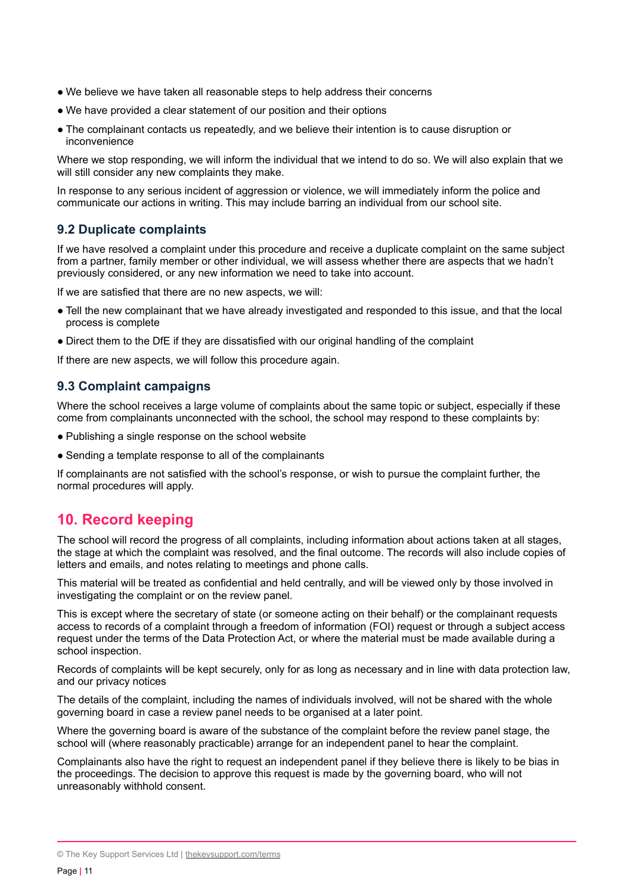- We believe we have taken all reasonable steps to help address their concerns
- We have provided a clear statement of our position and their options
- The complainant contacts us repeatedly, and we believe their intention is to cause disruption or inconvenience

Where we stop responding, we will inform the individual that we intend to do so. We will also explain that we will still consider any new complaints they make.

In response to any serious incident of aggression or violence, we will immediately inform the police and communicate our actions in writing. This may include barring an individual from our school site.

#### **9.2 Duplicate complaints**

If we have resolved a complaint under this procedure and receive a duplicate complaint on the same subject from a partner, family member or other individual, we will assess whether there are aspects that we hadn't previously considered, or any new information we need to take into account.

If we are satisfied that there are no new aspects, we will:

- Tell the new complainant that we have already investigated and responded to this issue, and that the local process is complete
- Direct them to the DfE if they are dissatisfied with our original handling of the complaint

If there are new aspects, we will follow this procedure again.

## **9.3 Complaint campaigns**

Where the school receives a large volume of complaints about the same topic or subject, especially if these come from complainants unconnected with the school, the school may respond to these complaints by:

- Publishing a single response on the school website
- Sending a template response to all of the complainants

If complainants are not satisfied with the school's response, or wish to pursue the complaint further, the normal procedures will apply.

# <span id="page-10-0"></span>**10. Record keeping**

The school will record the progress of all complaints, including information about actions taken at all stages, the stage at which the complaint was resolved, and the final outcome. The records will also include copies of letters and emails, and notes relating to meetings and phone calls.

This material will be treated as confidential and held centrally, and will be viewed only by those involved in investigating the complaint or on the review panel.

This is except where the secretary of state (or someone acting on their behalf) or the complainant requests access to records of a complaint through a freedom of information (FOI) request or through a subject access request under the terms of the Data Protection Act, or where the material must be made available during a school inspection.

Records of complaints will be kept securely, only for as long as necessary and in line with data protection law, and our privacy notices

The details of the complaint, including the names of individuals involved, will not be shared with the whole governing board in case a review panel needs to be organised at a later point.

Where the governing board is aware of the substance of the complaint before the review panel stage, the school will (where reasonably practicable) arrange for an independent panel to hear the complaint.

Complainants also have the right to request an independent panel if they believe there is likely to be bias in the proceedings. The decision to approve this request is made by the governing board, who will not unreasonably withhold consent.

<sup>©</sup> The Key Support Services Ltd | [thekeysupport.com/terms](https://thekeysupport.com/terms-of-use)